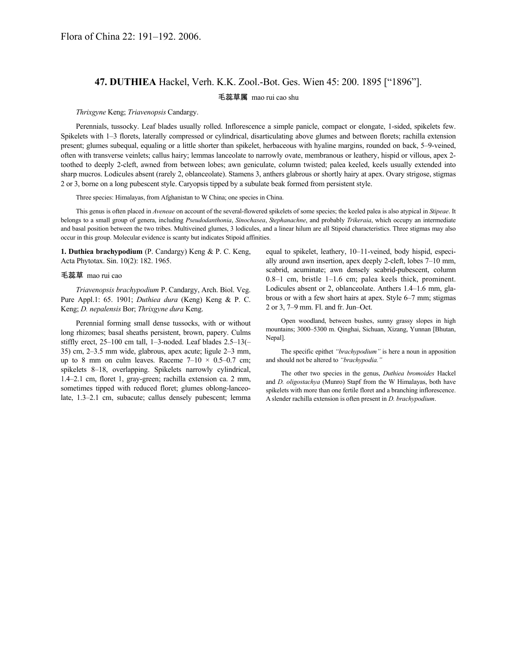## **47. DUTHIEA** Hackel, Verh. K.K. Zool.-Bot. Ges. Wien 45: 200. 1895 ["1896"].

## 毛蕊草属 mao rui cao shu

## *Thrixgyne* Keng; *Triavenopsis* Candargy.

Perennials, tussocky. Leaf blades usually rolled. Inflorescence a simple panicle, compact or elongate, 1-sided, spikelets few. Spikelets with 1–3 florets, laterally compressed or cylindrical, disarticulating above glumes and between florets; rachilla extension present; glumes subequal, equaling or a little shorter than spikelet, herbaceous with hyaline margins, rounded on back, 5–9-veined, often with transverse veinlets; callus hairy; lemmas lanceolate to narrowly ovate, membranous or leathery, hispid or villous, apex 2 toothed to deeply 2-cleft, awned from between lobes; awn geniculate, column twisted; palea keeled, keels usually extended into sharp mucros. Lodicules absent (rarely 2, oblanceolate). Stamens 3, anthers glabrous or shortly hairy at apex. Ovary strigose, stigmas 2 or 3, borne on a long pubescent style. Caryopsis tipped by a subulate beak formed from persistent style.

Three species: Himalayas, from Afghanistan to W China; one species in China.

This genus is often placed in *Aveneae* on account of the several-flowered spikelets of some species; the keeled palea is also atypical in *Stipeae*. It belongs to a small group of genera, including *Pseudodanthonia*, *Sinochasea*, *Stephanachne*, and probably *Trikeraia*, which occupy an intermediate and basal position between the two tribes. Multiveined glumes, 3 lodicules, and a linear hilum are all Stipoid characteristics. Three stigmas may also occur in this group. Molecular evidence is scanty but indicates Stipoid affinities.

**1. Duthiea brachypodium** (P. Candargy) Keng & P. C. Keng, Acta Phytotax. Sin. 10(2): 182. 1965.

## 毛蕊草 mao rui cao

*Triavenopsis brachypodium* P. Candargy, Arch. Biol. Veg. Pure Appl.1: 65. 1901; *Duthiea dura* (Keng) Keng & P. C. Keng; *D. nepalensis* Bor; *Thrixgyne dura* Keng.

Perennial forming small dense tussocks, with or without long rhizomes; basal sheaths persistent, brown, papery. Culms stiffly erect, 25–100 cm tall, 1–3-noded. Leaf blades 2.5–13(– 35) cm, 2–3.5 mm wide, glabrous, apex acute; ligule 2–3 mm, up to 8 mm on culm leaves. Raceme  $7-10 \times 0.5-0.7$  cm; spikelets 8–18, overlapping. Spikelets narrowly cylindrical, 1.4–2.1 cm, floret 1, gray-green; rachilla extension ca. 2 mm, sometimes tipped with reduced floret; glumes oblong-lanceolate, 1.3–2.1 cm, subacute; callus densely pubescent; lemma

equal to spikelet, leathery, 10–11-veined, body hispid, especially around awn insertion, apex deeply 2-cleft, lobes 7–10 mm, scabrid, acuminate; awn densely scabrid-pubescent, column 0.8–1 cm, bristle 1–1.6 cm; palea keels thick, prominent. Lodicules absent or 2, oblanceolate. Anthers 1.4–1.6 mm, glabrous or with a few short hairs at apex. Style 6–7 mm; stigmas 2 or 3, 7–9 mm. Fl. and fr. Jun–Oct.

Open woodland, between bushes, sunny grassy slopes in high mountains; 3000–5300 m. Qinghai, Sichuan, Xizang, Yunnan [Bhutan, Nepal].

The specific epithet *"brachypodium"* is here a noun in apposition and should not be altered to *"brachypodia."*

The other two species in the genus, *Duthiea bromoides* Hackel and *D. oligostachya* (Munro) Stapf from the W Himalayas, both have spikelets with more than one fertile floret and a branching inflorescence. A slender rachilla extension is often present in *D. brachypodium*.